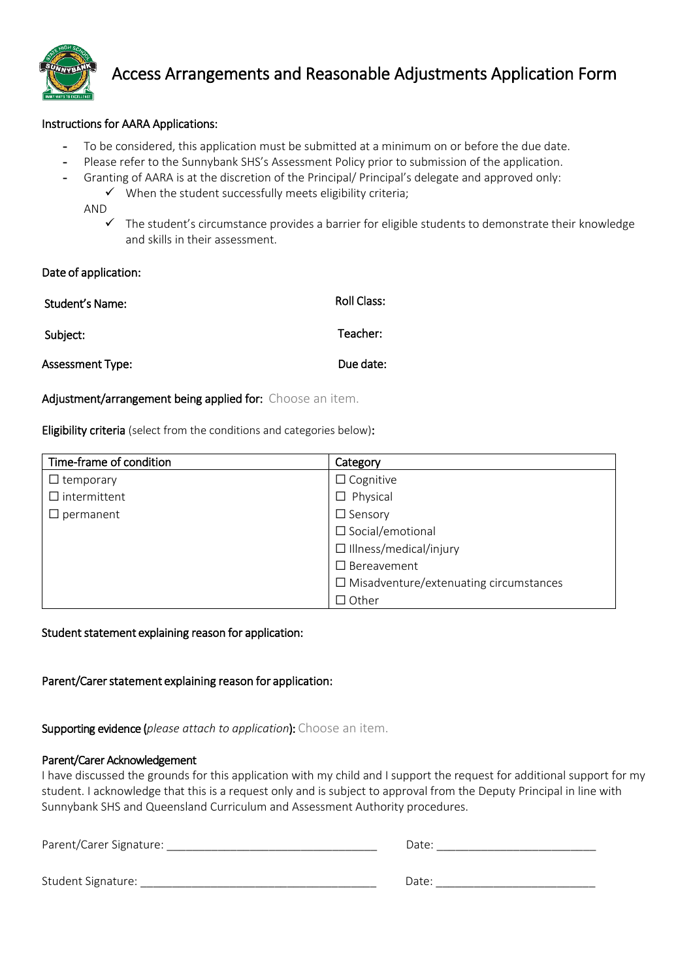

# Access Arrangements and Reasonable Adjustments Application Form

## Instructions for AARA Applications:

- To be considered, this application must be submitted at a minimum on or before the due date.
- Please refer to the Sunnybank SHS's Assessment Policy prior to submission of the application.
- Granting of AARA is at the discretion of the Principal/ Principal's delegate and approved only:
	- $\checkmark$  When the student successfully meets eligibility criteria;

AND

 $\checkmark$  The student's circumstance provides a barrier for eligible students to demonstrate their knowledge and skills in their assessment.

#### Date of application:

| Student's Name:  | Roll Class: |
|------------------|-------------|
| Subject:         | Teacher:    |
| Assessment Type: | Due date:   |

## Adjustment/arrangement being applied for: Choose an item.

Eligibility criteria (select from the conditions and categories below):

| Time-frame of condition | Category                                      |
|-------------------------|-----------------------------------------------|
| $\Box$ temporary        | $\Box$ Cognitive                              |
| $\Box$ intermittent     | $\Box$ Physical                               |
| permanent               | $\Box$ Sensory                                |
|                         | $\Box$ Social/emotional                       |
|                         | $\Box$ Illness/medical/injury                 |
|                         | $\Box$ Bereavement                            |
|                         | $\Box$ Misadventure/extenuating circumstances |
|                         | $\Box$ Other                                  |

## Student statement explaining reason for application:

Parent/Carer statement explaining reason for application:

Supporting evidence (*please attach to application*): Choose an item.

#### Parent/Carer Acknowledgement

I have discussed the grounds for this application with my child and I support the request for additional support for my student. I acknowledge that this is a request only and is subject to approval from the Deputy Principal in line with Sunnybank SHS and Queensland Curriculum and Assessment Authority procedures.

| Parent/Carer Signature: | Date: |
|-------------------------|-------|
| Student Signature:      | Date: |